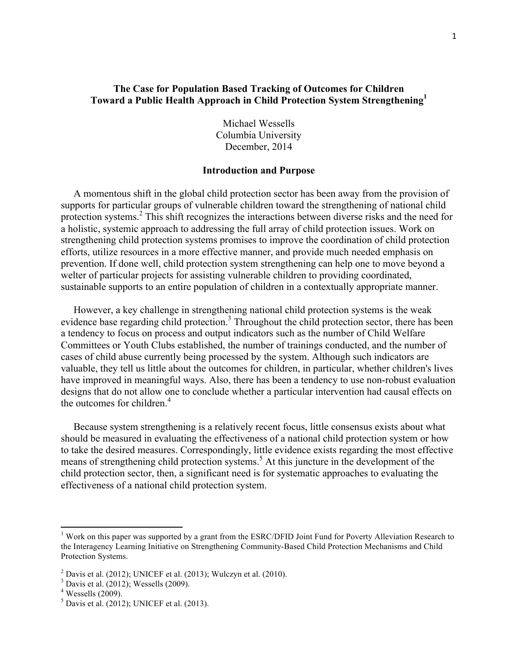# **The Case for Population Based Tracking of Outcomes for Children Toward a Public Health Approach in Child Protection System Strengthening<sup>1</sup>**

Michael Wessells Columbia University December, 2014

#### **Introduction and Purpose**

 A momentous shift in the global child protection sector has been away from the provision of supports for particular groups of vulnerable children toward the strengthening of national child protection systems.<sup>2</sup> This shift recognizes the interactions between diverse risks and the need for a holistic, systemic approach to addressing the full array of child protection issues. Work on strengthening child protection systems promises to improve the coordination of child protection efforts, utilize resources in a more effective manner, and provide much needed emphasis on prevention. If done well, child protection system strengthening can help one to move beyond a welter of particular projects for assisting vulnerable children to providing coordinated, sustainable supports to an entire population of children in a contextually appropriate manner.

 However, a key challenge in strengthening national child protection systems is the weak evidence base regarding child protection.<sup>3</sup> Throughout the child protection sector, there has been a tendency to focus on process and output indicators such as the number of Child Welfare Committees or Youth Clubs established, the number of trainings conducted, and the number of cases of child abuse currently being processed by the system. Although such indicators are valuable, they tell us little about the outcomes for children, in particular, whether children's lives have improved in meaningful ways. Also, there has been a tendency to use non-robust evaluation designs that do not allow one to conclude whether a particular intervention had causal effects on the outcomes for children. 4

 Because system strengthening is a relatively recent focus, little consensus exists about what should be measured in evaluating the effectiveness of a national child protection system or how to take the desired measures. Correspondingly, little evidence exists regarding the most effective means of strengthening child protection systems.<sup>5</sup> At this juncture in the development of the child protection sector, then, a significant need is for systematic approaches to evaluating the effectiveness of a national child protection system.

<sup>&</sup>lt;sup>1</sup> Work on this paper was supported by a grant from the ESRC/DFID Joint Fund for Poverty Alleviation Research to the Interagency Learning Initiative on Strengthening Community-Based Child Protection Mechanisms and Child Protection Systems.

 $2$  Davis et al. (2012); UNICEF et al. (2013); Wulczyn et al. (2010).

 $3$  Davis et al. (2012); Wessells (2009).

 $4$  Wessells (2009).

 $5$  Davis et al. (2012); UNICEF et al. (2013).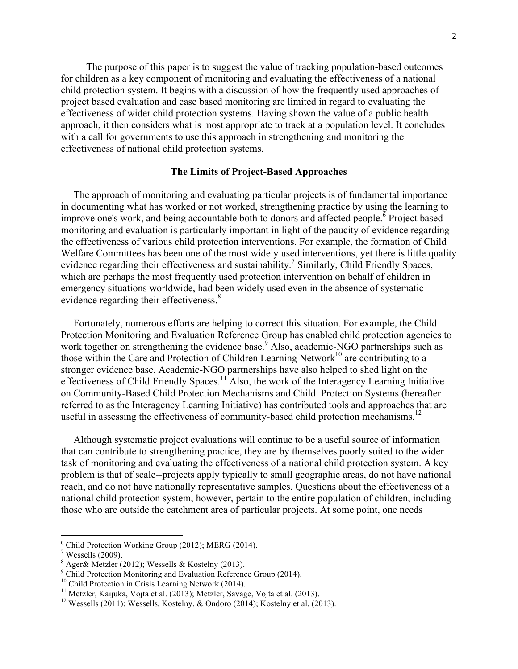The purpose of this paper is to suggest the value of tracking population-based outcomes for children as a key component of monitoring and evaluating the effectiveness of a national child protection system. It begins with a discussion of how the frequently used approaches of project based evaluation and case based monitoring are limited in regard to evaluating the effectiveness of wider child protection systems. Having shown the value of a public health approach, it then considers what is most appropriate to track at a population level. It concludes with a call for governments to use this approach in strengthening and monitoring the effectiveness of national child protection systems.

### **The Limits of Project-Based Approaches**

 The approach of monitoring and evaluating particular projects is of fundamental importance in documenting what has worked or not worked, strengthening practice by using the learning to improve one's work, and being accountable both to donors and affected people.  $\overline{6}$  Project based monitoring and evaluation is particularly important in light of the paucity of evidence regarding the effectiveness of various child protection interventions. For example, the formation of Child Welfare Committees has been one of the most widely used interventions, yet there is little quality evidence regarding their effectiveness and sustainability.<sup>7</sup> Similarly, Child Friendly Spaces, which are perhaps the most frequently used protection intervention on behalf of children in emergency situations worldwide, had been widely used even in the absence of systematic evidence regarding their effectiveness. 8

 Fortunately, numerous efforts are helping to correct this situation. For example, the Child Protection Monitoring and Evaluation Reference Group has enabled child protection agencies to work together on strengthening the evidence base.<sup>9</sup> Also, academic-NGO partnerships such as those within the Care and Protection of Children Learning Network<sup>10</sup> are contributing to a stronger evidence base. Academic-NGO partnerships have also helped to shed light on the effectiveness of Child Friendly Spaces.<sup>11</sup> Also, the work of the Interagency Learning Initiative on Community-Based Child Protection Mechanisms and Child Protection Systems (hereafter referred to as the Interagency Learning Initiative) has contributed tools and approaches that are useful in assessing the effectiveness of community-based child protection mechanisms.<sup>12</sup>

 Although systematic project evaluations will continue to be a useful source of information that can contribute to strengthening practice, they are by themselves poorly suited to the wider task of monitoring and evaluating the effectiveness of a national child protection system. A key problem is that of scale--projects apply typically to small geographic areas, do not have national reach, and do not have nationally representative samples. Questions about the effectiveness of a national child protection system, however, pertain to the entire population of children, including those who are outside the catchment area of particular projects. At some point, one needs

 $^6$  Child Protection Working Group (2012); MERG (2014).<br>
<sup>7</sup> Wessells (2009).

 $8$  Ager& Metzler (2012); Wessells & Kostelny (2013).

 $\degree$  Child Protection Monitoring and Evaluation Reference Group (2014).<br><sup>10</sup> Child Protection in Crisis Learning Network (2014).

<sup>&</sup>lt;sup>11</sup> Metzler, Kaijuka, Vojta et al. (2013); Metzler, Savage, Vojta et al. (2013).<br><sup>12</sup> Wessells (2011); Wessells, Kostelny, & Ondoro (2014); Kostelny et al. (2013).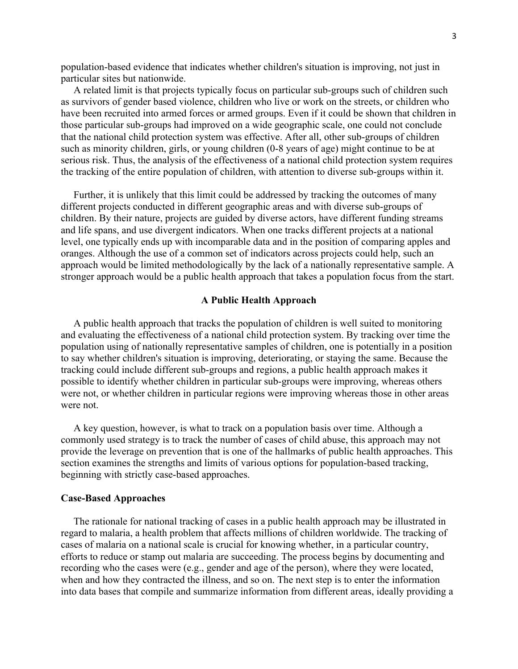population-based evidence that indicates whether children's situation is improving, not just in particular sites but nationwide.

 A related limit is that projects typically focus on particular sub-groups such of children such as survivors of gender based violence, children who live or work on the streets, or children who have been recruited into armed forces or armed groups. Even if it could be shown that children in those particular sub-groups had improved on a wide geographic scale, one could not conclude that the national child protection system was effective. After all, other sub-groups of children such as minority children, girls, or young children (0-8 years of age) might continue to be at serious risk. Thus, the analysis of the effectiveness of a national child protection system requires the tracking of the entire population of children, with attention to diverse sub-groups within it.

 Further, it is unlikely that this limit could be addressed by tracking the outcomes of many different projects conducted in different geographic areas and with diverse sub-groups of children. By their nature, projects are guided by diverse actors, have different funding streams and life spans, and use divergent indicators. When one tracks different projects at a national level, one typically ends up with incomparable data and in the position of comparing apples and oranges. Although the use of a common set of indicators across projects could help, such an approach would be limited methodologically by the lack of a nationally representative sample. A stronger approach would be a public health approach that takes a population focus from the start.

#### **A Public Health Approach**

 A public health approach that tracks the population of children is well suited to monitoring and evaluating the effectiveness of a national child protection system. By tracking over time the population using of nationally representative samples of children, one is potentially in a position to say whether children's situation is improving, deteriorating, or staying the same. Because the tracking could include different sub-groups and regions, a public health approach makes it possible to identify whether children in particular sub-groups were improving, whereas others were not, or whether children in particular regions were improving whereas those in other areas were not.

 A key question, however, is what to track on a population basis over time. Although a commonly used strategy is to track the number of cases of child abuse, this approach may not provide the leverage on prevention that is one of the hallmarks of public health approaches. This section examines the strengths and limits of various options for population-based tracking, beginning with strictly case-based approaches.

#### **Case-Based Approaches**

 The rationale for national tracking of cases in a public health approach may be illustrated in regard to malaria, a health problem that affects millions of children worldwide. The tracking of cases of malaria on a national scale is crucial for knowing whether, in a particular country, efforts to reduce or stamp out malaria are succeeding. The process begins by documenting and recording who the cases were (e.g., gender and age of the person), where they were located, when and how they contracted the illness, and so on. The next step is to enter the information into data bases that compile and summarize information from different areas, ideally providing a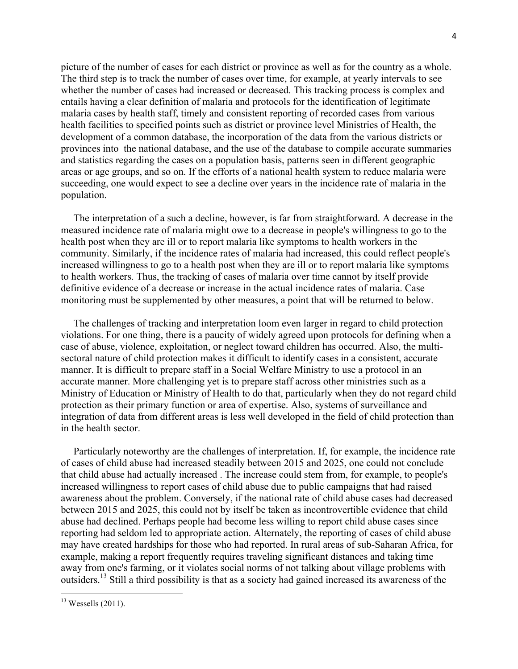picture of the number of cases for each district or province as well as for the country as a whole. The third step is to track the number of cases over time, for example, at yearly intervals to see whether the number of cases had increased or decreased. This tracking process is complex and entails having a clear definition of malaria and protocols for the identification of legitimate malaria cases by health staff, timely and consistent reporting of recorded cases from various health facilities to specified points such as district or province level Ministries of Health, the development of a common database, the incorporation of the data from the various districts or provinces into the national database, and the use of the database to compile accurate summaries and statistics regarding the cases on a population basis, patterns seen in different geographic areas or age groups, and so on. If the efforts of a national health system to reduce malaria were succeeding, one would expect to see a decline over years in the incidence rate of malaria in the population.

 The interpretation of a such a decline, however, is far from straightforward. A decrease in the measured incidence rate of malaria might owe to a decrease in people's willingness to go to the health post when they are ill or to report malaria like symptoms to health workers in the community. Similarly, if the incidence rates of malaria had increased, this could reflect people's increased willingness to go to a health post when they are ill or to report malaria like symptoms to health workers. Thus, the tracking of cases of malaria over time cannot by itself provide definitive evidence of a decrease or increase in the actual incidence rates of malaria. Case monitoring must be supplemented by other measures, a point that will be returned to below.

 The challenges of tracking and interpretation loom even larger in regard to child protection violations. For one thing, there is a paucity of widely agreed upon protocols for defining when a case of abuse, violence, exploitation, or neglect toward children has occurred. Also, the multisectoral nature of child protection makes it difficult to identify cases in a consistent, accurate manner. It is difficult to prepare staff in a Social Welfare Ministry to use a protocol in an accurate manner. More challenging yet is to prepare staff across other ministries such as a Ministry of Education or Ministry of Health to do that, particularly when they do not regard child protection as their primary function or area of expertise. Also, systems of surveillance and integration of data from different areas is less well developed in the field of child protection than in the health sector.

 Particularly noteworthy are the challenges of interpretation. If, for example, the incidence rate of cases of child abuse had increased steadily between 2015 and 2025, one could not conclude that child abuse had actually increased . The increase could stem from, for example, to people's increased willingness to report cases of child abuse due to public campaigns that had raised awareness about the problem. Conversely, if the national rate of child abuse cases had decreased between 2015 and 2025, this could not by itself be taken as incontrovertible evidence that child abuse had declined. Perhaps people had become less willing to report child abuse cases since reporting had seldom led to appropriate action. Alternately, the reporting of cases of child abuse may have created hardships for those who had reported. In rural areas of sub-Saharan Africa, for example, making a report frequently requires traveling significant distances and taking time away from one's farming, or it violates social norms of not talking about village problems with outsiders. <sup>13</sup> Still a third possibility is that as a society had gained increased its awareness of the

 $13$  Wessells (2011).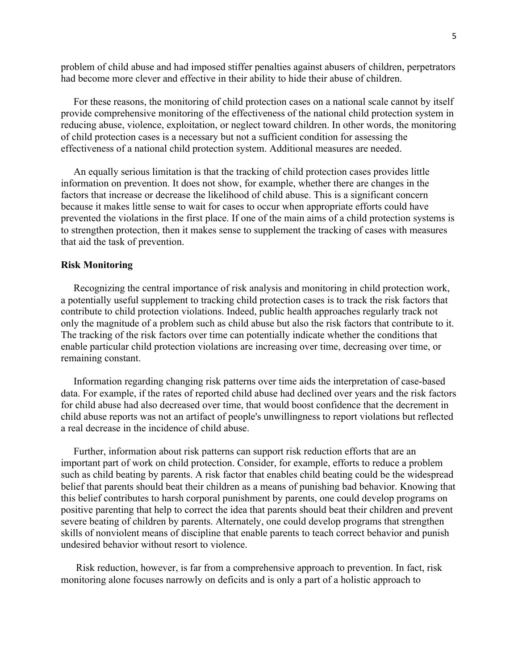problem of child abuse and had imposed stiffer penalties against abusers of children, perpetrators had become more clever and effective in their ability to hide their abuse of children.

 For these reasons, the monitoring of child protection cases on a national scale cannot by itself provide comprehensive monitoring of the effectiveness of the national child protection system in reducing abuse, violence, exploitation, or neglect toward children. In other words, the monitoring of child protection cases is a necessary but not a sufficient condition for assessing the effectiveness of a national child protection system. Additional measures are needed.

 An equally serious limitation is that the tracking of child protection cases provides little information on prevention. It does not show, for example, whether there are changes in the factors that increase or decrease the likelihood of child abuse. This is a significant concern because it makes little sense to wait for cases to occur when appropriate efforts could have prevented the violations in the first place. If one of the main aims of a child protection systems is to strengthen protection, then it makes sense to supplement the tracking of cases with measures that aid the task of prevention.

### **Risk Monitoring**

 Recognizing the central importance of risk analysis and monitoring in child protection work, a potentially useful supplement to tracking child protection cases is to track the risk factors that contribute to child protection violations. Indeed, public health approaches regularly track not only the magnitude of a problem such as child abuse but also the risk factors that contribute to it. The tracking of the risk factors over time can potentially indicate whether the conditions that enable particular child protection violations are increasing over time, decreasing over time, or remaining constant.

 Information regarding changing risk patterns over time aids the interpretation of case-based data. For example, if the rates of reported child abuse had declined over years and the risk factors for child abuse had also decreased over time, that would boost confidence that the decrement in child abuse reports was not an artifact of people's unwillingness to report violations but reflected a real decrease in the incidence of child abuse.

 Further, information about risk patterns can support risk reduction efforts that are an important part of work on child protection. Consider, for example, efforts to reduce a problem such as child beating by parents. A risk factor that enables child beating could be the widespread belief that parents should beat their children as a means of punishing bad behavior. Knowing that this belief contributes to harsh corporal punishment by parents, one could develop programs on positive parenting that help to correct the idea that parents should beat their children and prevent severe beating of children by parents. Alternately, one could develop programs that strengthen skills of nonviolent means of discipline that enable parents to teach correct behavior and punish undesired behavior without resort to violence.

 Risk reduction, however, is far from a comprehensive approach to prevention. In fact, risk monitoring alone focuses narrowly on deficits and is only a part of a holistic approach to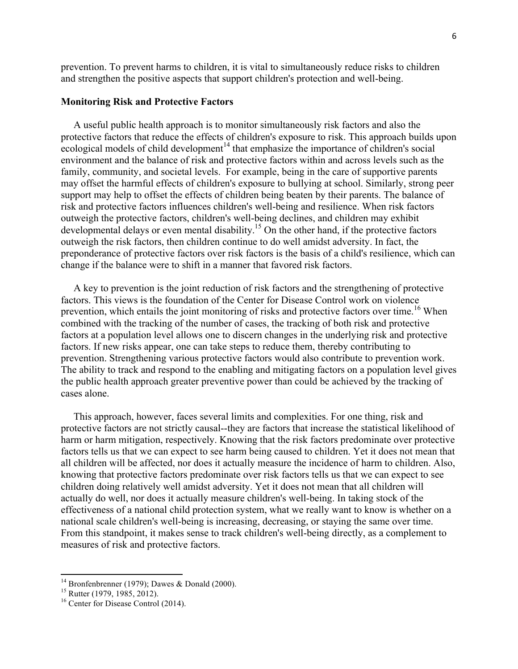prevention. To prevent harms to children, it is vital to simultaneously reduce risks to children and strengthen the positive aspects that support children's protection and well-being.

#### **Monitoring Risk and Protective Factors**

 A useful public health approach is to monitor simultaneously risk factors and also the protective factors that reduce the effects of children's exposure to risk. This approach builds upon ecological models of child development<sup>14</sup> that emphasize the importance of children's social environment and the balance of risk and protective factors within and across levels such as the family, community, and societal levels. For example, being in the care of supportive parents may offset the harmful effects of children's exposure to bullying at school. Similarly, strong peer support may help to offset the effects of children being beaten by their parents. The balance of risk and protective factors influences children's well-being and resilience. When risk factors outweigh the protective factors, children's well-being declines, and children may exhibit developmental delays or even mental disability.15 On the other hand, if the protective factors outweigh the risk factors, then children continue to do well amidst adversity. In fact, the preponderance of protective factors over risk factors is the basis of a child's resilience, which can change if the balance were to shift in a manner that favored risk factors.

 A key to prevention is the joint reduction of risk factors and the strengthening of protective factors. This views is the foundation of the Center for Disease Control work on violence prevention, which entails the joint monitoring of risks and protective factors over time.<sup>16</sup> When combined with the tracking of the number of cases, the tracking of both risk and protective factors at a population level allows one to discern changes in the underlying risk and protective factors. If new risks appear, one can take steps to reduce them, thereby contributing to prevention. Strengthening various protective factors would also contribute to prevention work. The ability to track and respond to the enabling and mitigating factors on a population level gives the public health approach greater preventive power than could be achieved by the tracking of cases alone.

 This approach, however, faces several limits and complexities. For one thing, risk and protective factors are not strictly causal--they are factors that increase the statistical likelihood of harm or harm mitigation, respectively. Knowing that the risk factors predominate over protective factors tells us that we can expect to see harm being caused to children. Yet it does not mean that all children will be affected, nor does it actually measure the incidence of harm to children. Also, knowing that protective factors predominate over risk factors tells us that we can expect to see children doing relatively well amidst adversity. Yet it does not mean that all children will actually do well, nor does it actually measure children's well-being. In taking stock of the effectiveness of a national child protection system, what we really want to know is whether on a national scale children's well-being is increasing, decreasing, or staying the same over time. From this standpoint, it makes sense to track children's well-being directly, as a complement to measures of risk and protective factors.

<sup>&</sup>lt;sup>14</sup> Bronfenbrenner (1979); Dawes & Donald (2000).<br><sup>15</sup> Rutter (1979, 1985, 2012).<br><sup>16</sup> Center for Disease Control (2014).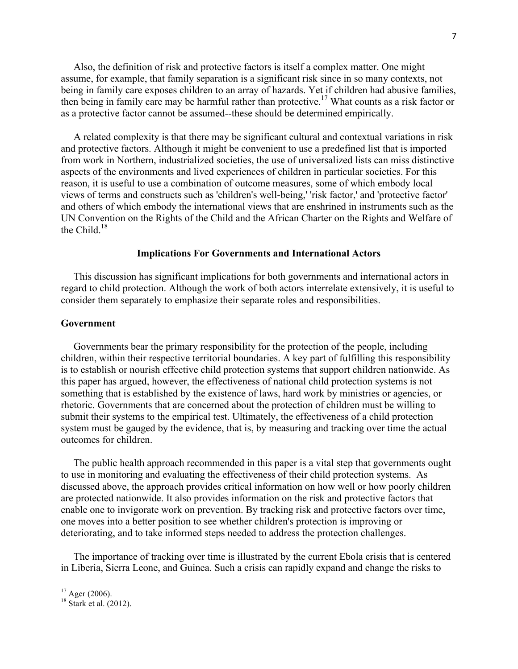Also, the definition of risk and protective factors is itself a complex matter. One might assume, for example, that family separation is a significant risk since in so many contexts, not being in family care exposes children to an array of hazards. Yet if children had abusive families, then being in family care may be harmful rather than protective.<sup>17</sup> What counts as a risk factor or as a protective factor cannot be assumed--these should be determined empirically.

 A related complexity is that there may be significant cultural and contextual variations in risk and protective factors. Although it might be convenient to use a predefined list that is imported from work in Northern, industrialized societies, the use of universalized lists can miss distinctive aspects of the environments and lived experiences of children in particular societies. For this reason, it is useful to use a combination of outcome measures, some of which embody local views of terms and constructs such as 'children's well-being,' 'risk factor,' and 'protective factor' and others of which embody the international views that are enshrined in instruments such as the UN Convention on the Rights of the Child and the African Charter on the Rights and Welfare of the Child.<sup>18</sup>

#### **Implications For Governments and International Actors**

 This discussion has significant implications for both governments and international actors in regard to child protection. Although the work of both actors interrelate extensively, it is useful to consider them separately to emphasize their separate roles and responsibilities.

#### **Government**

 Governments bear the primary responsibility for the protection of the people, including children, within their respective territorial boundaries. A key part of fulfilling this responsibility is to establish or nourish effective child protection systems that support children nationwide. As this paper has argued, however, the effectiveness of national child protection systems is not something that is established by the existence of laws, hard work by ministries or agencies, or rhetoric. Governments that are concerned about the protection of children must be willing to submit their systems to the empirical test. Ultimately, the effectiveness of a child protection system must be gauged by the evidence, that is, by measuring and tracking over time the actual outcomes for children.

 The public health approach recommended in this paper is a vital step that governments ought to use in monitoring and evaluating the effectiveness of their child protection systems. As discussed above, the approach provides critical information on how well or how poorly children are protected nationwide. It also provides information on the risk and protective factors that enable one to invigorate work on prevention. By tracking risk and protective factors over time, one moves into a better position to see whether children's protection is improving or deteriorating, and to take informed steps needed to address the protection challenges.

 The importance of tracking over time is illustrated by the current Ebola crisis that is centered in Liberia, Sierra Leone, and Guinea. Such a crisis can rapidly expand and change the risks to

 $17$  Ager (2006).

 $18$  Stark et al. (2012).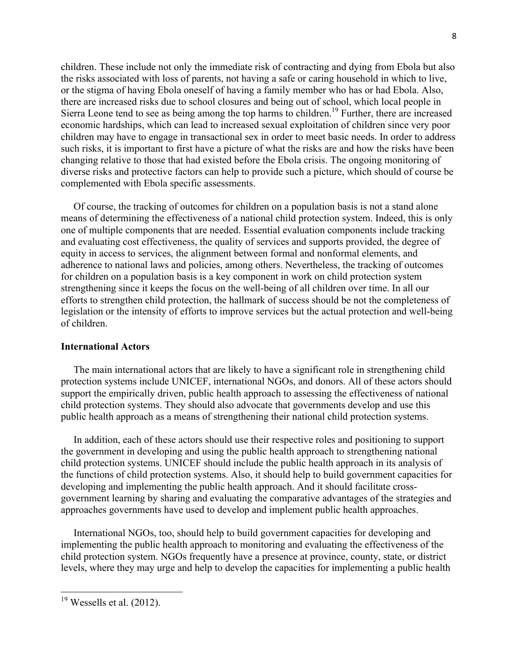children. These include not only the immediate risk of contracting and dying from Ebola but also the risks associated with loss of parents, not having a safe or caring household in which to live, or the stigma of having Ebola oneself of having a family member who has or had Ebola. Also, there are increased risks due to school closures and being out of school, which local people in Sierra Leone tend to see as being among the top harms to children. <sup>19</sup> Further, there are increased economic hardships, which can lead to increased sexual exploitation of children since very poor children may have to engage in transactional sex in order to meet basic needs. In order to address such risks, it is important to first have a picture of what the risks are and how the risks have been changing relative to those that had existed before the Ebola crisis. The ongoing monitoring of diverse risks and protective factors can help to provide such a picture, which should of course be complemented with Ebola specific assessments.

 Of course, the tracking of outcomes for children on a population basis is not a stand alone means of determining the effectiveness of a national child protection system. Indeed, this is only one of multiple components that are needed. Essential evaluation components include tracking and evaluating cost effectiveness, the quality of services and supports provided, the degree of equity in access to services, the alignment between formal and nonformal elements, and adherence to national laws and policies, among others. Nevertheless, the tracking of outcomes for children on a population basis is a key component in work on child protection system strengthening since it keeps the focus on the well-being of all children over time. In all our efforts to strengthen child protection, the hallmark of success should be not the completeness of legislation or the intensity of efforts to improve services but the actual protection and well-being of children.

#### **International Actors**

 The main international actors that are likely to have a significant role in strengthening child protection systems include UNICEF, international NGOs, and donors. All of these actors should support the empirically driven, public health approach to assessing the effectiveness of national child protection systems. They should also advocate that governments develop and use this public health approach as a means of strengthening their national child protection systems.

 In addition, each of these actors should use their respective roles and positioning to support the government in developing and using the public health approach to strengthening national child protection systems. UNICEF should include the public health approach in its analysis of the functions of child protection systems. Also, it should help to build government capacities for developing and implementing the public health approach. And it should facilitate crossgovernment learning by sharing and evaluating the comparative advantages of the strategies and approaches governments have used to develop and implement public health approaches.

 International NGOs, too, should help to build government capacities for developing and implementing the public health approach to monitoring and evaluating the effectiveness of the child protection system. NGOs frequently have a presence at province, county, state, or district levels, where they may urge and help to develop the capacities for implementing a public health

 $19$  Wessells et al. (2012).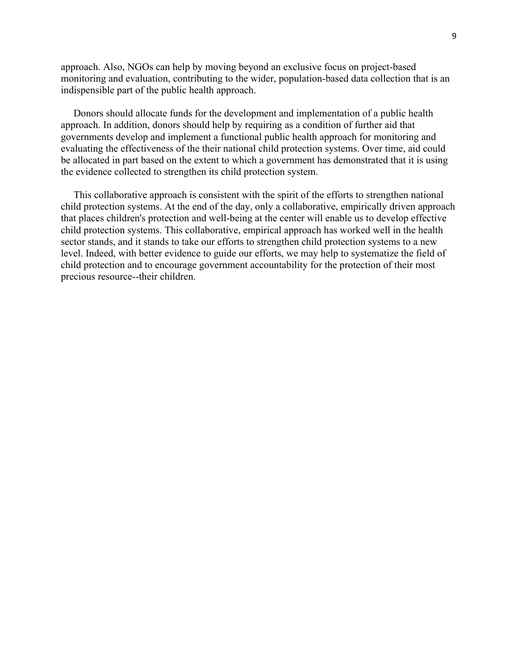approach. Also, NGOs can help by moving beyond an exclusive focus on project-based monitoring and evaluation, contributing to the wider, population-based data collection that is an indispensible part of the public health approach.

 Donors should allocate funds for the development and implementation of a public health approach. In addition, donors should help by requiring as a condition of further aid that governments develop and implement a functional public health approach for monitoring and evaluating the effectiveness of the their national child protection systems. Over time, aid could be allocated in part based on the extent to which a government has demonstrated that it is using the evidence collected to strengthen its child protection system.

 This collaborative approach is consistent with the spirit of the efforts to strengthen national child protection systems. At the end of the day, only a collaborative, empirically driven approach that places children's protection and well-being at the center will enable us to develop effective child protection systems. This collaborative, empirical approach has worked well in the health sector stands, and it stands to take our efforts to strengthen child protection systems to a new level. Indeed, with better evidence to guide our efforts, we may help to systematize the field of child protection and to encourage government accountability for the protection of their most precious resource--their children.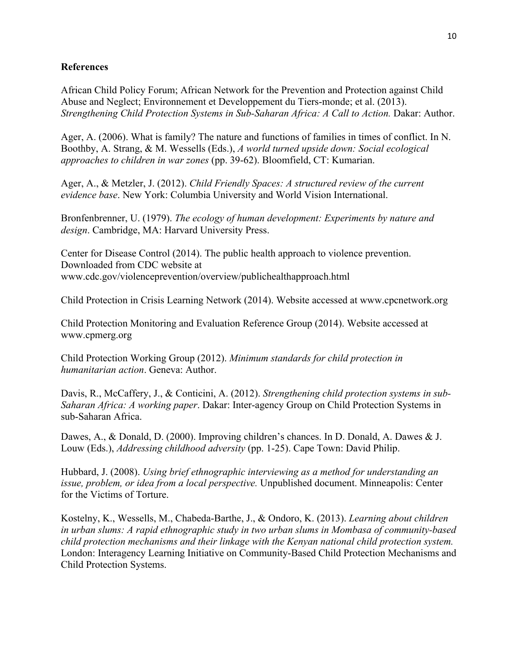## **References**

African Child Policy Forum; African Network for the Prevention and Protection against Child Abuse and Neglect; Environnement et Developpement du Tiers-monde; et al. (2013). *Strengthening Child Protection Systems in Sub-Saharan Africa: A Call to Action.* Dakar: Author.

Ager, A. (2006). What is family? The nature and functions of families in times of conflict. In N. Boothby, A. Strang, & M. Wessells (Eds.), *A world turned upside down: Social ecological approaches to children in war zones* (pp. 39-62). Bloomfield, CT: Kumarian.

Ager, A., & Metzler, J. (2012). *Child Friendly Spaces: A structured review of the current evidence base*. New York: Columbia University and World Vision International.

Bronfenbrenner, U. (1979). *The ecology of human development: Experiments by nature and design*. Cambridge, MA: Harvard University Press.

Center for Disease Control (2014). The public health approach to violence prevention. Downloaded from CDC website at www.cdc.gov/violenceprevention/overview/publichealthapproach.html

Child Protection in Crisis Learning Network (2014). Website accessed at www.cpcnetwork.org

Child Protection Monitoring and Evaluation Reference Group (2014). Website accessed at www.cpmerg.org

Child Protection Working Group (2012). *Minimum standards for child protection in humanitarian action*. Geneva: Author.

Davis, R., McCaffery, J., & Conticini, A. (2012). *Strengthening child protection systems in sub-Saharan Africa: A working paper*. Dakar: Inter-agency Group on Child Protection Systems in sub-Saharan Africa.

Dawes, A., & Donald, D. (2000). Improving children's chances. In D. Donald, A. Dawes & J. Louw (Eds.), *Addressing childhood adversity* (pp. 1-25). Cape Town: David Philip.

Hubbard, J. (2008). *Using brief ethnographic interviewing as a method for understanding an issue, problem, or idea from a local perspective.* Unpublished document. Minneapolis: Center for the Victims of Torture.

Kostelny, K., Wessells, M., Chabeda-Barthe, J., & Ondoro, K. (2013). *Learning about children in urban slums: A rapid ethnographic study in two urban slums in Mombasa of community-based child protection mechanisms and their linkage with the Kenyan national child protection system.* London: Interagency Learning Initiative on Community-Based Child Protection Mechanisms and Child Protection Systems.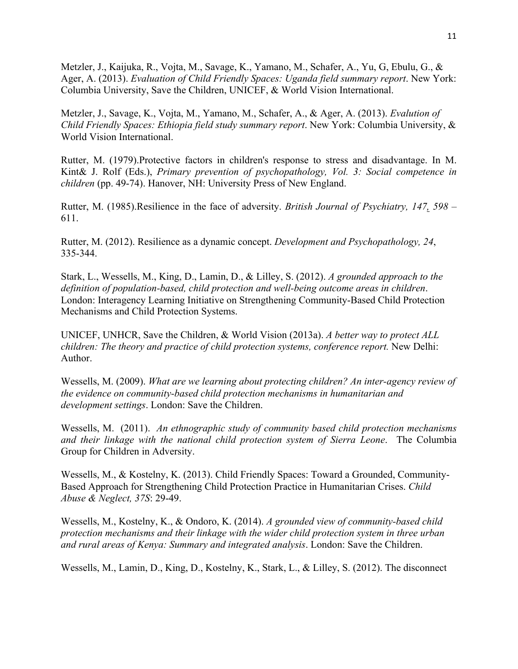Metzler, J., Kaijuka, R., Vojta, M., Savage, K., Yamano, M., Schafer, A., Yu, G, Ebulu, G., & Ager, A. (2013). *Evaluation of Child Friendly Spaces: Uganda field summary report*. New York: Columbia University, Save the Children, UNICEF, & World Vision International.

Metzler, J., Savage, K., Vojta, M., Yamano, M., Schafer, A., & Ager, A. (2013). *Evalution of Child Friendly Spaces: Ethiopia field study summary report*. New York: Columbia University, & World Vision International.

Rutter, M. (1979).Protective factors in children's response to stress and disadvantage. In M. Kint& J. Rolf (Eds.), *Primary prevention of psychopathology, Vol. 3: Social competence in children* (pp. 49-74). Hanover, NH: University Press of New England.

Rutter, M. (1985).Resilience in the face of adversity. *British Journal of Psychiatry, 147, 598 –* 611.

Rutter, M. (2012). Resilience as a dynamic concept. *Development and Psychopathology, 24*, 335-344.

Stark, L., Wessells, M., King, D., Lamin, D., & Lilley, S. (2012). *A grounded approach to the definition of population-based, child protection and well-being outcome areas in children*. London: Interagency Learning Initiative on Strengthening Community-Based Child Protection Mechanisms and Child Protection Systems.

UNICEF, UNHCR, Save the Children, & World Vision (2013a). *A better way to protect ALL children: The theory and practice of child protection systems, conference report.* New Delhi: Author.

Wessells, M. (2009). *What are we learning about protecting children? An inter-agency review of the evidence on community-based child protection mechanisms in humanitarian and development settings*. London: Save the Children.

Wessells, M. (2011). *An ethnographic study of community based child protection mechanisms and their linkage with the national child protection system of Sierra Leone*. The Columbia Group for Children in Adversity.

Wessells, M., & Kostelny, K. (2013). Child Friendly Spaces: Toward a Grounded, Community-Based Approach for Strengthening Child Protection Practice in Humanitarian Crises. *Child Abuse & Neglect, 37S*: 29-49.

Wessells, M., Kostelny, K., & Ondoro, K. (2014). *A grounded view of community-based child protection mechanisms and their linkage with the wider child protection system in three urban and rural areas of Kenya: Summary and integrated analysis*. London: Save the Children.

Wessells, M., Lamin, D., King, D., Kostelny, K., Stark, L., & Lilley, S. (2012). The disconnect